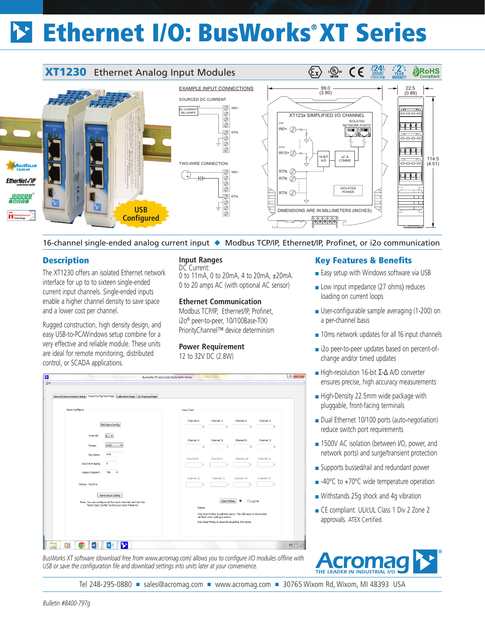# Ethernet I/O: BusWorks® XT Series



16-channel single-ended analog current input ◆ Modbus TCP/IP, Ethernet/IP, Profinet, or i2o communication

## **Description**

 $\overline{\mathbf{b}}$ 

Eile

The XT1230 offers an isolated Ethernet network interface for up to to sixteen single-ended current input channels. Single-ended inputs enable a higher channel density to save space and a lower cost per channel.

Rugged construction, high density design, and easy USB-to-PC/Windows setup combine for a very effective and reliable module. These units are ideal for remote monitoring, distributed control, or SCADA applications.

## **Input Ranges**

DC Current: 0 to 11mA, 0 to 20mA, 4 to 20mA, ±20mA. 0 to 20 amps AC (with optional AC sensor)

#### **Ethernet Communication**

Modbus TCP/IP, Ethernet/IP, Profinet, i2o® peer-to-peer, 10/100Base-T(X) PriorityChannel™ device determinism

 $\begin{array}{|c|c|c|}\n\hline\n\end{array}$ 

## **Power Requirement**

12 to 32V DC (2.8W)

## Key Features & Benefits

- Easy setup with Windows software via USB
- Low input impedance (27 ohms) reduces loading on current loops
- User-configurable sample averaging (1-200) on a per-channel basis
- 10ms network updates for all 16 input channels
- i2o peer-to-peer updates based on percent-ofchange and/or timed updates
- High-resolution 16-bit Σ-Δ A/D converter ensures precise, high accuracy measurements
- High-Density 22.5mm wide package with pluggable, front-facing terminals
- Dual Ethernet 10/100 ports (auto-negotiation) reduce switch port requirements
- 1500V AC isolation (between I/O, power, and network ports) and surge/transient protection
- Supports bussed/rail and redundant power
- -40°C to +70°C wide temperature operation
- Withstands 25g shock and 4g vibration
- CE compliant. UL/cUL Class 1 Div 2 Zone 2 approvals. ATEX Certified.



| <b>Input Configure</b>                                                                                                               | <b>Input Test</b>                                                                        |
|--------------------------------------------------------------------------------------------------------------------------------------|------------------------------------------------------------------------------------------|
| Get Input Config                                                                                                                     | Channel 3:<br>Channel 0:<br>Channel 1:<br>Channel 2:                                     |
|                                                                                                                                      | v<br>v<br>v<br>v                                                                         |
| $0$ -<br>Channel:                                                                                                                    | Channel 4:<br>Channel 5:<br>Channel 6:<br>Channel 7:                                     |
| ±10V<br>۰<br>Range:                                                                                                                  | $\mathbf{v}$<br>$\mathbf{v}$<br>v<br>v                                                   |
| CHO<br>Tag Name:                                                                                                                     | Channel 11:<br>Channel 8:<br>Channel 9:<br>Channel 10:                                   |
| $\overline{\mathbf{2}}$<br><b>Input Averaging:</b>                                                                                   | $\mathbf{v}$                                                                             |
| Yes<br>Legacy Support:<br>$\blacktriangledown$                                                                                       |                                                                                          |
| Status: No Error                                                                                                                     | Channel 13:<br>Channel 15:<br>Channel 12:<br>Channel 14:                                 |
|                                                                                                                                      |                                                                                          |
| Send Input Config<br>Note: You can configure all the input channels and dick the<br>"Send Input Config" button just once if desired. | <b>Start Poling</b><br>۰<br>Log Fie                                                      |
|                                                                                                                                      | Status:<br>Click Start Poling to poll the inputs. The LED next to the button             |
|                                                                                                                                      | will flash when poling is active.<br>Click Stop Poling to discontinue poling the inputs. |
|                                                                                                                                      |                                                                                          |
|                                                                                                                                      |                                                                                          |

Busworks XT121x/122x/123x/124x Series

*BusWorks XT software (download free from www.acromag.com) allows you to configure I/O modules offline with USB or save the configuration file and download settings into units later at your convenience.*